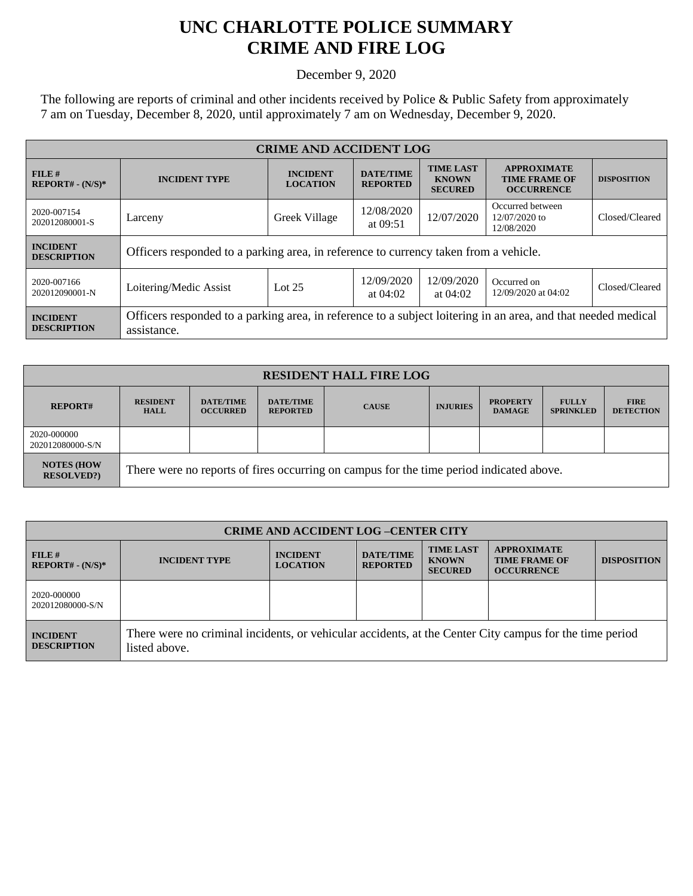## **UNC CHARLOTTE POLICE SUMMARY CRIME AND FIRE LOG**

December 9, 2020

The following are reports of criminal and other incidents received by Police & Public Safety from approximately 7 am on Tuesday, December 8, 2020, until approximately 7 am on Wednesday, December 9, 2020.

| <b>CRIME AND ACCIDENT LOG</b>         |                                                                                                                              |                                    |                                     |                                                    |                                                                 |                    |  |
|---------------------------------------|------------------------------------------------------------------------------------------------------------------------------|------------------------------------|-------------------------------------|----------------------------------------------------|-----------------------------------------------------------------|--------------------|--|
| FILE#<br>$REPORT# - (N/S)*$           | <b>INCIDENT TYPE</b>                                                                                                         | <b>INCIDENT</b><br><b>LOCATION</b> | <b>DATE/TIME</b><br><b>REPORTED</b> | <b>TIME LAST</b><br><b>KNOWN</b><br><b>SECURED</b> | <b>APPROXIMATE</b><br><b>TIME FRAME OF</b><br><b>OCCURRENCE</b> | <b>DISPOSITION</b> |  |
| 2020-007154<br>202012080001-S         | Larceny                                                                                                                      | Greek Village                      | 12/08/2020<br>at $09:51$            | 12/07/2020                                         | Occurred between<br>$12/07/2020$ to<br>12/08/2020               | Closed/Cleared     |  |
| <b>INCIDENT</b><br><b>DESCRIPTION</b> | Officers responded to a parking area, in reference to currency taken from a vehicle.                                         |                                    |                                     |                                                    |                                                                 |                    |  |
| 2020-007166<br>202012090001-N         | Loitering/Medic Assist                                                                                                       | Lot $25$                           | 12/09/2020<br>at $04:02$            | 12/09/2020<br>at $04:02$                           | Occurred on<br>12/09/2020 at 04:02                              | Closed/Cleared     |  |
| <b>INCIDENT</b><br><b>DESCRIPTION</b> | Officers responded to a parking area, in reference to a subject loitering in an area, and that needed medical<br>assistance. |                                    |                                     |                                                    |                                                                 |                    |  |

| <b>RESIDENT HALL FIRE LOG</b>         |                                                                                         |                                     |                                     |              |                 |                                  |                                  |                                 |
|---------------------------------------|-----------------------------------------------------------------------------------------|-------------------------------------|-------------------------------------|--------------|-----------------|----------------------------------|----------------------------------|---------------------------------|
| <b>REPORT#</b>                        | <b>RESIDENT</b><br><b>HALL</b>                                                          | <b>DATE/TIME</b><br><b>OCCURRED</b> | <b>DATE/TIME</b><br><b>REPORTED</b> | <b>CAUSE</b> | <b>INJURIES</b> | <b>PROPERTY</b><br><b>DAMAGE</b> | <b>FULLY</b><br><b>SPRINKLED</b> | <b>FIRE</b><br><b>DETECTION</b> |
| 2020-000000<br>202012080000-S/N       |                                                                                         |                                     |                                     |              |                 |                                  |                                  |                                 |
| <b>NOTES (HOW</b><br><b>RESOLVED?</b> | There were no reports of fires occurring on campus for the time period indicated above. |                                     |                                     |              |                 |                                  |                                  |                                 |

| <b>CRIME AND ACCIDENT LOG-CENTER CITY</b> |                                                                                                                          |                                    |                                     |                                                    |                                                                 |                    |
|-------------------------------------------|--------------------------------------------------------------------------------------------------------------------------|------------------------------------|-------------------------------------|----------------------------------------------------|-----------------------------------------------------------------|--------------------|
| FILE H<br>$REPORT# - (N/S)*$              | <b>INCIDENT TYPE</b>                                                                                                     | <b>INCIDENT</b><br><b>LOCATION</b> | <b>DATE/TIME</b><br><b>REPORTED</b> | <b>TIME LAST</b><br><b>KNOWN</b><br><b>SECURED</b> | <b>APPROXIMATE</b><br><b>TIME FRAME OF</b><br><b>OCCURRENCE</b> | <b>DISPOSITION</b> |
| 2020-000000<br>202012080000-S/N           |                                                                                                                          |                                    |                                     |                                                    |                                                                 |                    |
| <b>INCIDENT</b><br><b>DESCRIPTION</b>     | There were no criminal incidents, or vehicular accidents, at the Center City campus for the time period<br>listed above. |                                    |                                     |                                                    |                                                                 |                    |